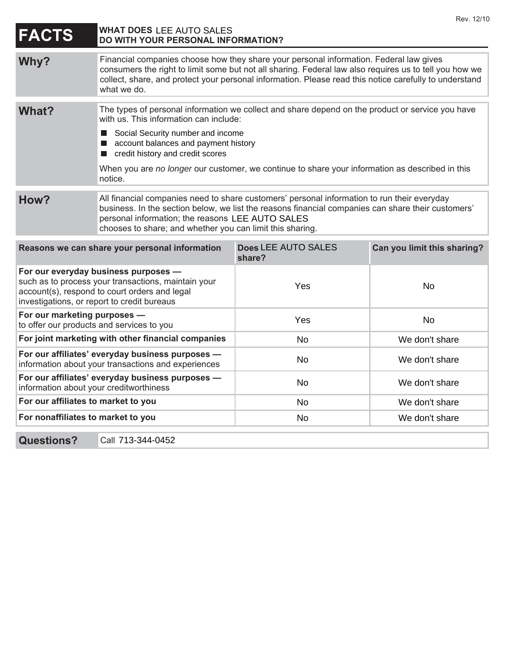| <b>FACTS</b>                                                                                                                                                                                | <b>WHAT DOES LEE AUTO SALES</b><br>DO WITH YOUR PERSONAL INFORMATION?                                                                                                                                                                                                                                                     |                               |                             |
|---------------------------------------------------------------------------------------------------------------------------------------------------------------------------------------------|---------------------------------------------------------------------------------------------------------------------------------------------------------------------------------------------------------------------------------------------------------------------------------------------------------------------------|-------------------------------|-----------------------------|
| Why?                                                                                                                                                                                        | Financial companies choose how they share your personal information. Federal law gives<br>consumers the right to limit some but not all sharing. Federal law also requires us to tell you how we<br>collect, share, and protect your personal information. Please read this notice carefully to understand<br>what we do. |                               |                             |
| What?                                                                                                                                                                                       | The types of personal information we collect and share depend on the product or service you have<br>with us. This information can include:                                                                                                                                                                                |                               |                             |
|                                                                                                                                                                                             | Social Security number and income<br>$\blacksquare$<br>account balances and payment history<br>credit history and credit scores                                                                                                                                                                                           |                               |                             |
|                                                                                                                                                                                             | When you are no longer our customer, we continue to share your information as described in this<br>notice.                                                                                                                                                                                                                |                               |                             |
| How?                                                                                                                                                                                        | All financial companies need to share customers' personal information to run their everyday<br>business. In the section below, we list the reasons financial companies can share their customers'<br>personal information; the reasons LEE AUTO SALES<br>chooses to share; and whether you can limit this sharing.        |                               |                             |
| Reasons we can share your personal information                                                                                                                                              |                                                                                                                                                                                                                                                                                                                           | Does LEE AUTO SALES<br>share? | Can you limit this sharing? |
| For our everyday business purposes -<br>such as to process your transactions, maintain your<br>account(s), respond to court orders and legal<br>investigations, or report to credit bureaus |                                                                                                                                                                                                                                                                                                                           | Yes                           | <b>No</b>                   |
| For our marketing purposes -<br>to offer our products and services to you                                                                                                                   |                                                                                                                                                                                                                                                                                                                           | Yes                           | <b>No</b>                   |
| For joint marketing with other financial companies                                                                                                                                          |                                                                                                                                                                                                                                                                                                                           | No                            | We don't share              |
| For our affiliates' everyday business purposes -<br>information about your transactions and experiences                                                                                     |                                                                                                                                                                                                                                                                                                                           | <b>No</b>                     | We don't share              |
| For our affiliates' everyday business purposes -<br>information about your creditworthiness                                                                                                 |                                                                                                                                                                                                                                                                                                                           | No                            | We don't share              |
| For our affiliates to market to you                                                                                                                                                         |                                                                                                                                                                                                                                                                                                                           | <b>No</b>                     | We don't share              |
| For nonaffiliates to market to you                                                                                                                                                          |                                                                                                                                                                                                                                                                                                                           | <b>No</b>                     | We don't share              |

Rev. 12/10

**Questions?** 

Call 713-344-0452